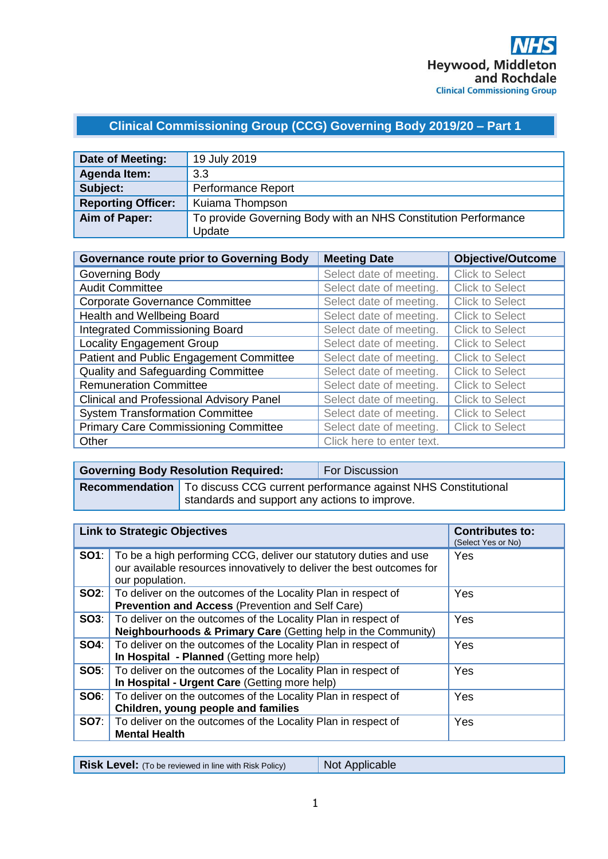# **Clinical Commissioning Group (CCG) Governing Body 2019/20 – Part 1**

| Date of Meeting:          | 19 July 2019                                                   |
|---------------------------|----------------------------------------------------------------|
| <b>Agenda Item:</b>       | 3.3                                                            |
| Subject:                  | Performance Report                                             |
| <b>Reporting Officer:</b> | Kuiama Thompson                                                |
| Aim of Paper:             | To provide Governing Body with an NHS Constitution Performance |
|                           | Update                                                         |

| <b>Governance route prior to Governing Body</b> | <b>Meeting Date</b>       | <b>Objective/Outcome</b> |
|-------------------------------------------------|---------------------------|--------------------------|
| Governing Body                                  | Select date of meeting.   | <b>Click to Select</b>   |
| <b>Audit Committee</b>                          | Select date of meeting.   | <b>Click to Select</b>   |
| <b>Corporate Governance Committee</b>           | Select date of meeting.   | <b>Click to Select</b>   |
| Health and Wellbeing Board                      | Select date of meeting.   | <b>Click to Select</b>   |
| <b>Integrated Commissioning Board</b>           | Select date of meeting.   | <b>Click to Select</b>   |
| <b>Locality Engagement Group</b>                | Select date of meeting.   | <b>Click to Select</b>   |
| Patient and Public Engagement Committee         | Select date of meeting.   | <b>Click to Select</b>   |
| Quality and Safeguarding Committee              | Select date of meeting.   | <b>Click to Select</b>   |
| <b>Remuneration Committee</b>                   | Select date of meeting.   | <b>Click to Select</b>   |
| <b>Clinical and Professional Advisory Panel</b> | Select date of meeting.   | <b>Click to Select</b>   |
| <b>System Transformation Committee</b>          | Select date of meeting.   | <b>Click to Select</b>   |
| <b>Primary Care Commissioning Committee</b>     | Select date of meeting.   | <b>Click to Select</b>   |
| Other                                           | Click here to enter text. |                          |

| <b>Governing Body Resolution Required:</b> |                                               | <b>For Discussion</b>                                                                 |
|--------------------------------------------|-----------------------------------------------|---------------------------------------------------------------------------------------|
|                                            | standards and support any actions to improve. | <b>Recommendation</b>   To discuss CCG current performance against NHS Constitutional |

|             | <b>Link to Strategic Objectives</b>                                                                                                                           | <b>Contributes to:</b><br>(Select Yes or No) |
|-------------|---------------------------------------------------------------------------------------------------------------------------------------------------------------|----------------------------------------------|
| SO1:        | To be a high performing CCG, deliver our statutory duties and use<br>our available resources innovatively to deliver the best outcomes for<br>our population. | Yes                                          |
|             | <b>SO2:</b>   To deliver on the outcomes of the Locality Plan in respect of<br>Prevention and Access (Prevention and Self Care)                               | Yes                                          |
| SO3:        | To deliver on the outcomes of the Locality Plan in respect of<br>Neighbourhoods & Primary Care (Getting help in the Community)                                | Yes                                          |
| SO4:        | To deliver on the outcomes of the Locality Plan in respect of<br>In Hospital - Planned (Getting more help)                                                    | Yes                                          |
| <b>SO5:</b> | To deliver on the outcomes of the Locality Plan in respect of<br>In Hospital - Urgent Care (Getting more help)                                                | Yes                                          |
| SO6:        | To deliver on the outcomes of the Locality Plan in respect of<br>Children, young people and families                                                          | Yes                                          |
| <b>SO7:</b> | To deliver on the outcomes of the Locality Plan in respect of<br><b>Mental Health</b>                                                                         | Yes                                          |

**Risk Level:** (To be reviewed in line with Risk Policy) Not Applicable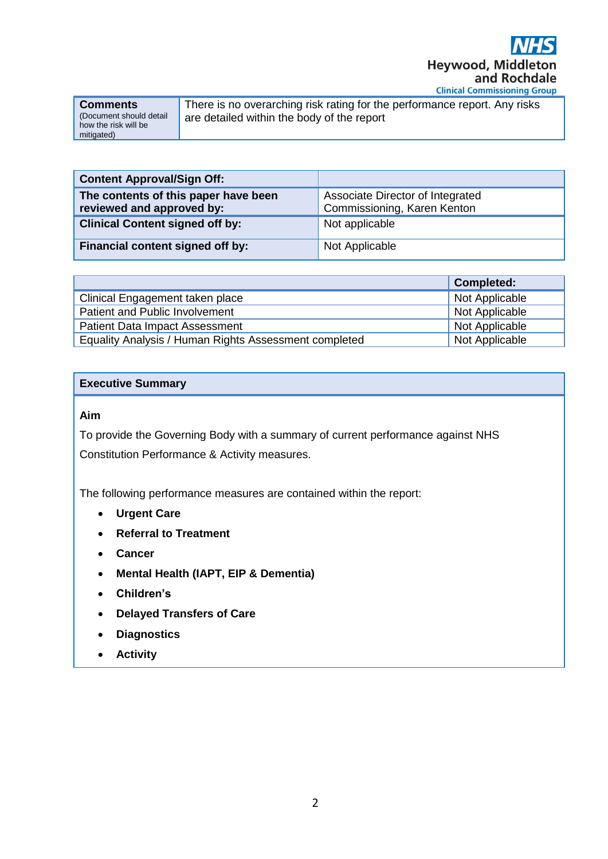

| <b>Comments</b>          |
|--------------------------|
| (Document should detail) |
| how the risk will be     |
| mitigated)               |

There is no overarching risk rating for the performance report. Any risks are detailed within the body of the report

| <b>Content Approval/Sign Off:</b>                                 |                                                                 |
|-------------------------------------------------------------------|-----------------------------------------------------------------|
| The contents of this paper have been<br>reviewed and approved by: | Associate Director of Integrated<br>Commissioning, Karen Kenton |
| <b>Clinical Content signed off by:</b>                            | Not applicable                                                  |
| Financial content signed off by:                                  | Not Applicable                                                  |

|                                                       | <b>Completed:</b> |
|-------------------------------------------------------|-------------------|
| Clinical Engagement taken place                       | Not Applicable    |
| Patient and Public Involvement                        | Not Applicable    |
| <b>Patient Data Impact Assessment</b>                 | Not Applicable    |
| Equality Analysis / Human Rights Assessment completed | Not Applicable    |

# **Executive Summary**

### **Aim**

To provide the Governing Body with a summary of current performance against NHS Constitution Performance & Activity measures.

The following performance measures are contained within the report:

- **Urgent Care**
- **Referral to Treatment**
- **Cancer**
- **Mental Health (IAPT, EIP & Dementia)**
- **Children's**
- **Delayed Transfers of Care**
- **Diagnostics**
- **Activity**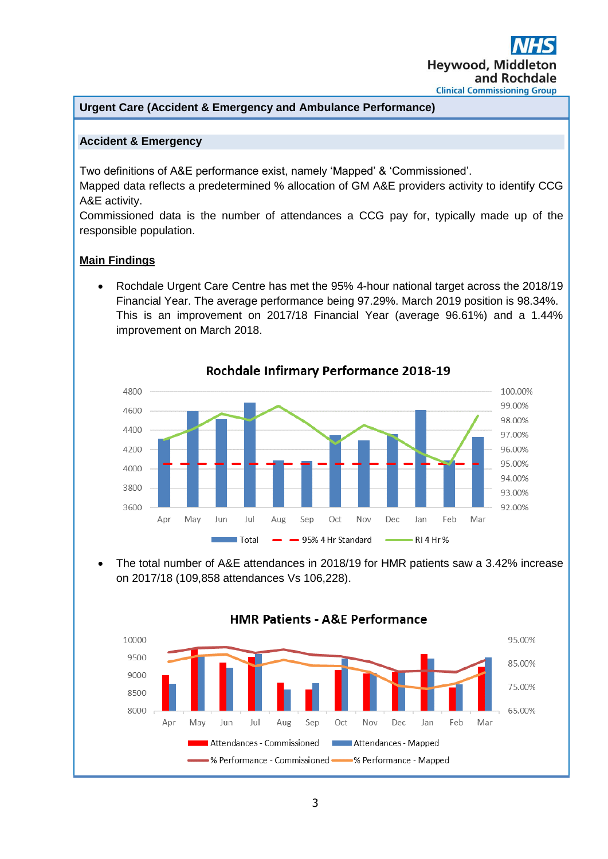# **Urgent Care (Accident & Emergency and Ambulance Performance)**

### **Accident & Emergency**

Two definitions of A&E performance exist, namely 'Mapped' & 'Commissioned'.

Mapped data reflects a predetermined % allocation of GM A&E providers activity to identify CCG A&E activity.

Commissioned data is the number of attendances a CCG pay for, typically made up of the responsible population.

# **Main Findings**

• Rochdale Urgent Care Centre has met the 95% 4-hour national target across the 2018/19 Financial Year. The average performance being 97.29%. March 2019 position is 98.34%. This is an improvement on 2017/18 Financial Year (average 96.61%) and a 1.44% improvement on March 2018.



# Rochdale Infirmary Performance 2018-19

• The total number of A&E attendances in 2018/19 for HMR patients saw a 3.42% increase on 2017/18 (109,858 attendances Vs 106,228).



# **HMR Patients - A&E Performance**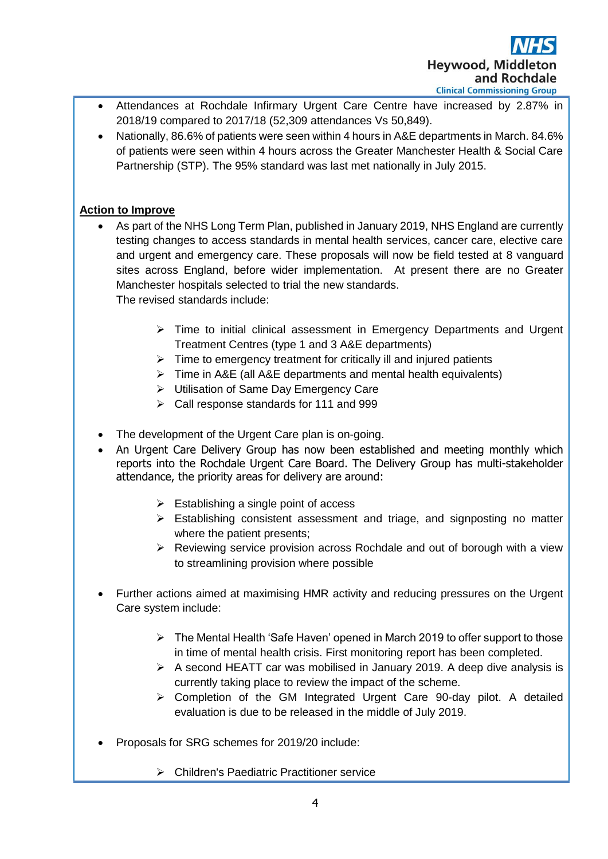

- Attendances at Rochdale Infirmary Urgent Care Centre have increased by 2.87% in 2018/19 compared to 2017/18 (52,309 attendances Vs 50,849).
- Nationally, 86.6% of patients were seen within 4 hours in A&E departments in March. 84.6% of patients were seen within 4 hours across the Greater Manchester Health & Social Care Partnership (STP). The 95% standard was last met nationally in July 2015.

# **Action to Improve**

- As part of the NHS Long Term Plan, published in January 2019, NHS England are currently testing changes to access standards in mental health services, cancer care, elective care and urgent and emergency care. These proposals will now be field tested at 8 vanguard sites across England, before wider implementation. At present there are no Greater Manchester hospitals selected to trial the new standards. The revised standards include:
	- ➢ Time to initial clinical assessment in Emergency Departments and Urgent Treatment Centres (type 1 and 3 A&E departments)
	- $\triangleright$  Time to emergency treatment for critically ill and injured patients
	- ➢ Time in A&E (all A&E departments and mental health equivalents)
	- ➢ Utilisation of Same Day Emergency Care
	- ➢ Call response standards for 111 and 999
- The development of the Urgent Care plan is on-going.
- An Urgent Care Delivery Group has now been established and meeting monthly which reports into the Rochdale Urgent Care Board. The Delivery Group has multi-stakeholder attendance, the priority areas for delivery are around:
	- $\triangleright$  Establishing a single point of access
	- ➢ Establishing consistent assessment and triage, and signposting no matter where the patient presents:
	- ➢ Reviewing service provision across Rochdale and out of borough with a view to streamlining provision where possible
- Further actions aimed at maximising HMR activity and reducing pressures on the Urgent Care system include:
	- $\triangleright$  The Mental Health 'Safe Haven' opened in March 2019 to offer support to those in time of mental health crisis. First monitoring report has been completed.
	- $\triangleright$  A second HEATT car was mobilised in January 2019. A deep dive analysis is currently taking place to review the impact of the scheme.
	- ➢ Completion of the GM Integrated Urgent Care 90-day pilot. A detailed evaluation is due to be released in the middle of July 2019.
- Proposals for SRG schemes for 2019/20 include:
	- ➢ Children's Paediatric Practitioner service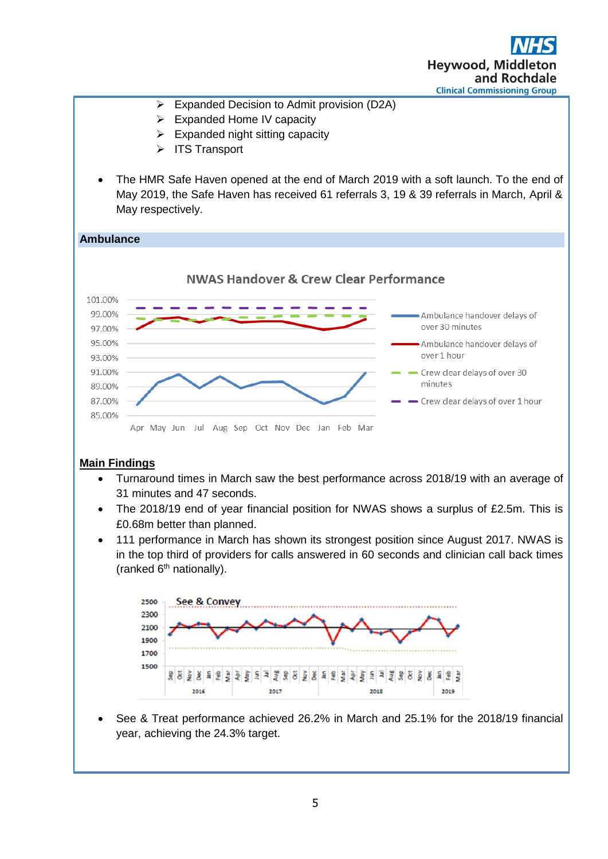



# **Main Findings**

- Turnaround times in March saw the best performance across 2018/19 with an average of 31 minutes and 47 seconds.
- The 2018/19 end of year financial position for NWAS shows a surplus of £2.5m. This is £0.68m better than planned.
- 111 performance in March has shown its strongest position since August 2017. NWAS is in the top third of providers for calls answered in 60 seconds and clinician call back times (ranked  $6<sup>th</sup>$  nationally).



• See & Treat performance achieved 26.2% in March and 25.1% for the 2018/19 financial year, achieving the 24.3% target.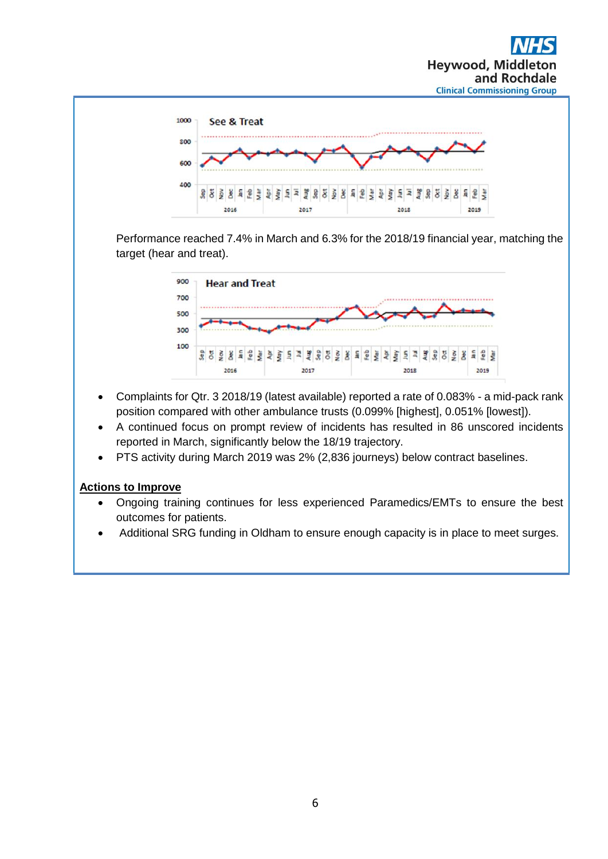



Performance reached 7.4% in March and 6.3% for the 2018/19 financial year, matching the target (hear and treat).



- Complaints for Qtr. 3 2018/19 (latest available) reported a rate of 0.083% a mid-pack rank position compared with other ambulance trusts (0.099% [highest], 0.051% [lowest]).
- A continued focus on prompt review of incidents has resulted in 86 unscored incidents reported in March, significantly below the 18/19 trajectory.
- PTS activity during March 2019 was 2% (2,836 journeys) below contract baselines.

# **Actions to Improve**

- Ongoing training continues for less experienced Paramedics/EMTs to ensure the best outcomes for patients.
- Additional SRG funding in Oldham to ensure enough capacity is in place to meet surges.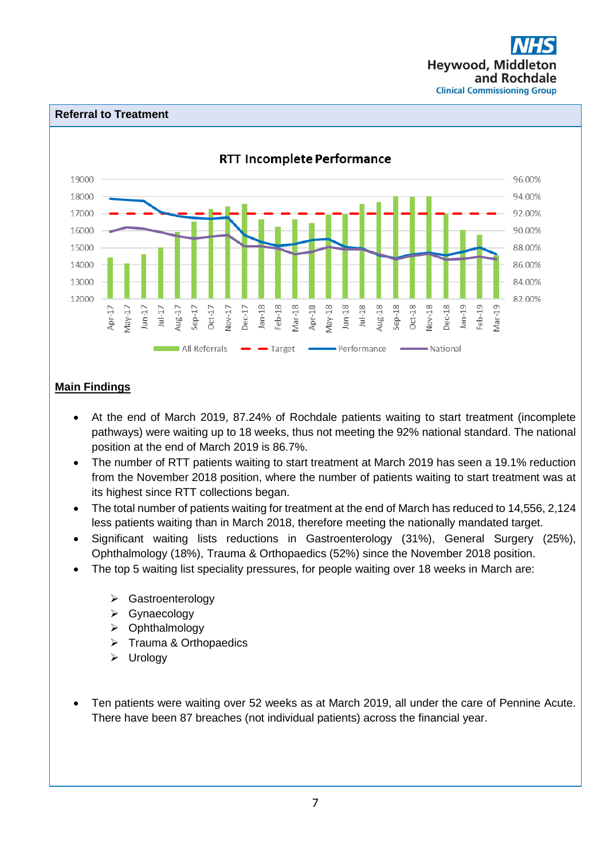

#### **Referral to Treatment**



# **Main Findings**

- At the end of March 2019, 87.24% of Rochdale patients waiting to start treatment (incomplete pathways) were waiting up to 18 weeks, thus not meeting the 92% national standard. The national position at the end of March 2019 is 86.7%.
- The number of RTT patients waiting to start treatment at March 2019 has seen a 19.1% reduction from the November 2018 position, where the number of patients waiting to start treatment was at its highest since RTT collections began.
- The total number of patients waiting for treatment at the end of March has reduced to 14,556, 2,124 less patients waiting than in March 2018, therefore meeting the nationally mandated target.
- Significant waiting lists reductions in Gastroenterology (31%), General Surgery (25%), Ophthalmology (18%), Trauma & Orthopaedics (52%) since the November 2018 position.
	- The top 5 waiting list speciality pressures, for people waiting over 18 weeks in March are:
		- ➢ Gastroenterology
		- ➢ Gynaecology
		- ➢ Ophthalmology
		- ➢ Trauma & Orthopaedics
		- ➢ Urology
- Ten patients were waiting over 52 weeks as at March 2019, all under the care of Pennine Acute. There have been 87 breaches (not individual patients) across the financial year.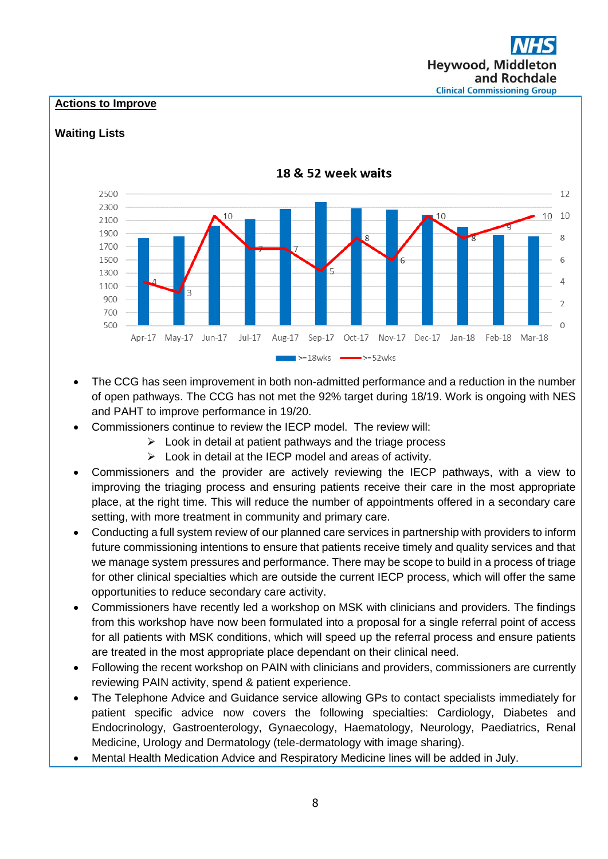# **Hevwood, Midd** and Rochdale **Clinical Commissioning Group**

# **Actions to Improve**

#### 18 & 52 week waits 2500  $12$ 2300 10 10  $10$  $10$ 2100  $1900$ 8 1700 1500 6 1300  $\overline{4}$ 1100 900  $\overline{\phantom{a}}$ 700 500  $\Omega$ Apr-17 May-17 Jun-17 Jul-17 Aug-17 Sep-17 Oct-17 Nov-17 Dec-17 Jan-18 Feb-18 Mar-18  $\blacktriangleright$ =18wks  $\Rightarrow$  >=52 wks

# **Waiting Lists**

- The CCG has seen improvement in both non-admitted performance and a reduction in the number of open pathways. The CCG has not met the 92% target during 18/19. Work is ongoing with NES and PAHT to improve performance in 19/20.
	- Commissioners continue to review the IECP model. The review will:
		- $\triangleright$  Look in detail at patient pathways and the triage process
		- ➢ Look in detail at the IECP model and areas of activity.
- Commissioners and the provider are actively reviewing the IECP pathways, with a view to improving the triaging process and ensuring patients receive their care in the most appropriate place, at the right time. This will reduce the number of appointments offered in a secondary care setting, with more treatment in community and primary care.
- Conducting a full system review of our planned care services in partnership with providers to inform future commissioning intentions to ensure that patients receive timely and quality services and that we manage system pressures and performance. There may be scope to build in a process of triage for other clinical specialties which are outside the current IECP process, which will offer the same opportunities to reduce secondary care activity.
- Commissioners have recently led a workshop on MSK with clinicians and providers. The findings from this workshop have now been formulated into a proposal for a single referral point of access for all patients with MSK conditions, which will speed up the referral process and ensure patients are treated in the most appropriate place dependant on their clinical need.
- Following the recent workshop on PAIN with clinicians and providers, commissioners are currently reviewing PAIN activity, spend & patient experience.
- The Telephone Advice and Guidance service allowing GPs to contact specialists immediately for patient specific advice now covers the following specialties: Cardiology, Diabetes and Endocrinology, Gastroenterology, Gynaecology, Haematology, Neurology, Paediatrics, Renal Medicine, Urology and Dermatology (tele-dermatology with image sharing).
- Mental Health Medication Advice and Respiratory Medicine lines will be added in July.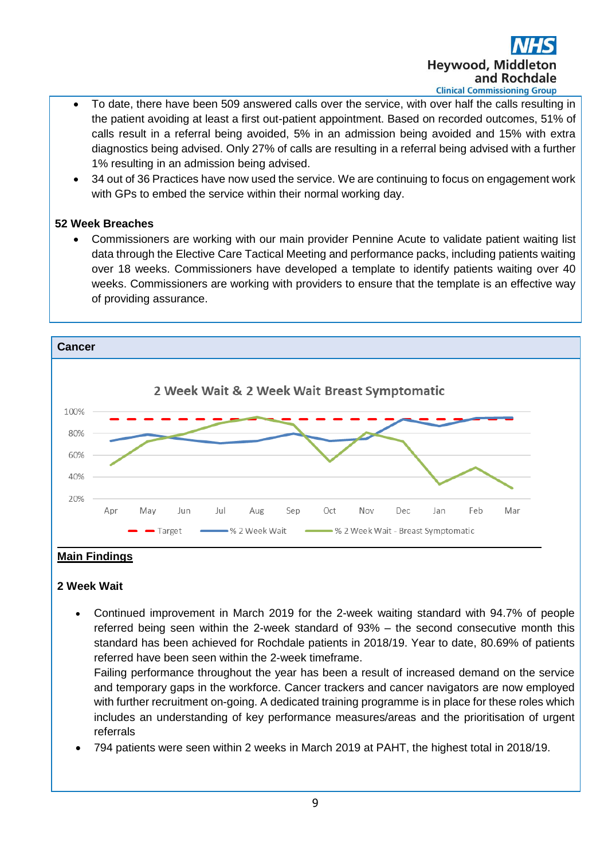

- To date, there have been 509 answered calls over the service, with over half the calls resulting in the patient avoiding at least a first out-patient appointment. Based on recorded outcomes, 51% of calls result in a referral being avoided, 5% in an admission being avoided and 15% with extra diagnostics being advised. Only 27% of calls are resulting in a referral being advised with a further 1% resulting in an admission being advised.
- 34 out of 36 Practices have now used the service. We are continuing to focus on engagement work with GPs to embed the service within their normal working day.

# **52 Week Breaches**

• Commissioners are working with our main provider Pennine Acute to validate patient waiting list data through the Elective Care Tactical Meeting and performance packs, including patients waiting over 18 weeks. Commissioners have developed a template to identify patients waiting over 40 weeks. Commissioners are working with providers to ensure that the template is an effective way of providing assurance.



# **2 Week Wait**

• Continued improvement in March 2019 for the 2-week waiting standard with 94.7% of people referred being seen within the 2-week standard of 93% – the second consecutive month this standard has been achieved for Rochdale patients in 2018/19. Year to date, 80.69% of patients referred have been seen within the 2-week timeframe.

Failing performance throughout the year has been a result of increased demand on the service and temporary gaps in the workforce. Cancer trackers and cancer navigators are now employed with further recruitment on-going. A dedicated training programme is in place for these roles which includes an understanding of key performance measures/areas and the prioritisation of urgent referrals

• 794 patients were seen within 2 weeks in March 2019 at PAHT, the highest total in 2018/19.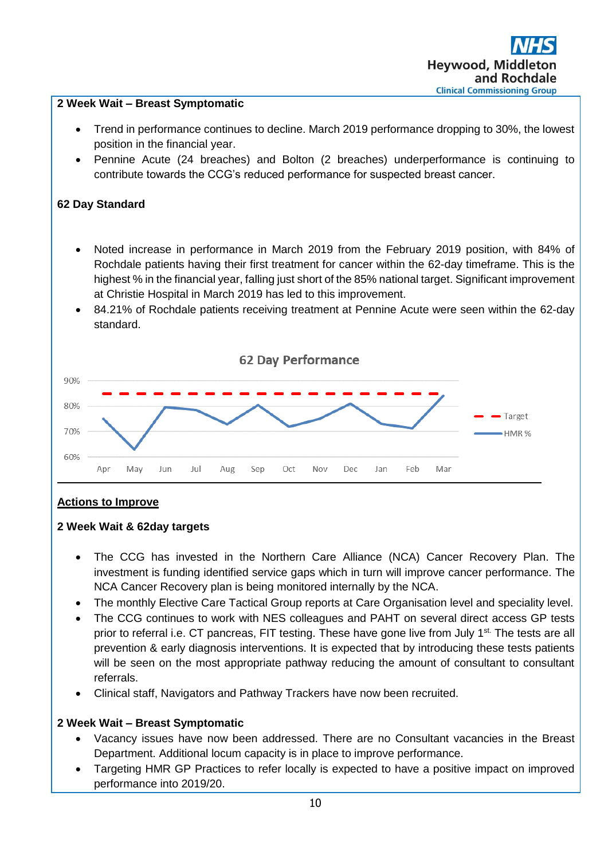

- NCA Cancer Recovery plan is being monitored internally by the NCA.
- The monthly Elective Care Tactical Group reports at Care Organisation level and speciality level.
- The CCG continues to work with NES colleagues and PAHT on several direct access GP tests prior to referral i.e. CT pancreas, FIT testing. These have gone live from July 1<sup>st.</sup> The tests are all prevention & early diagnosis interventions. It is expected that by introducing these tests patients will be seen on the most appropriate pathway reducing the amount of consultant to consultant referrals.
- Clinical staff, Navigators and Pathway Trackers have now been recruited.

# **2 Week Wait – Breast Symptomatic**

- Vacancy issues have now been addressed. There are no Consultant vacancies in the Breast Department. Additional locum capacity is in place to improve performance.
- Targeting HMR GP Practices to refer locally is expected to have a positive impact on improved performance into 2019/20.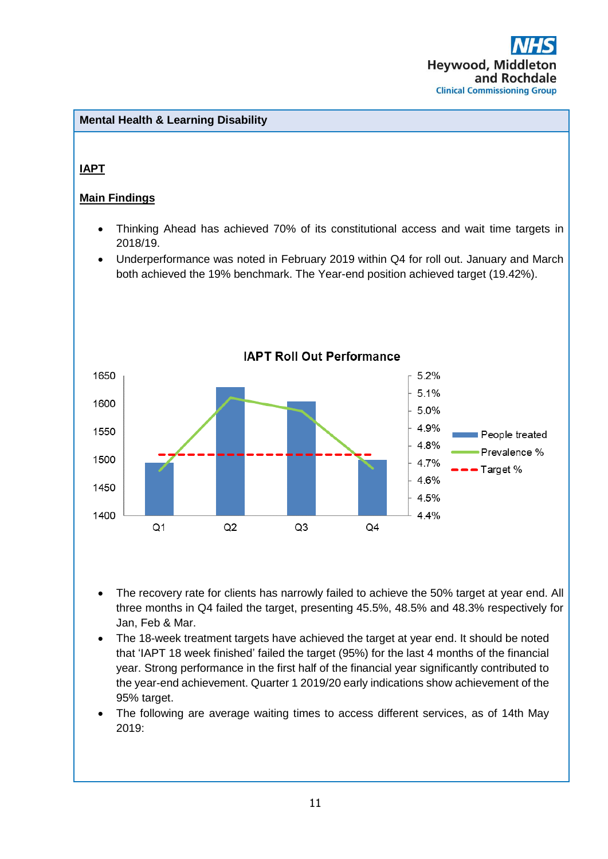# **Mental Health & Learning Disability**

# **IAPT**

# **Main Findings**

- Thinking Ahead has achieved 70% of its constitutional access and wait time targets in 2018/19.
- Underperformance was noted in February 2019 within Q4 for roll out. January and March both achieved the 19% benchmark. The Year-end position achieved target (19.42%).



- The recovery rate for clients has narrowly failed to achieve the 50% target at year end. All three months in Q4 failed the target, presenting 45.5%, 48.5% and 48.3% respectively for Jan, Feb & Mar.
- The 18-week treatment targets have achieved the target at year end. It should be noted that 'IAPT 18 week finished' failed the target (95%) for the last 4 months of the financial year. Strong performance in the first half of the financial year significantly contributed to the year-end achievement. Quarter 1 2019/20 early indications show achievement of the 95% target.
- The following are average waiting times to access different services, as of 14th May 2019: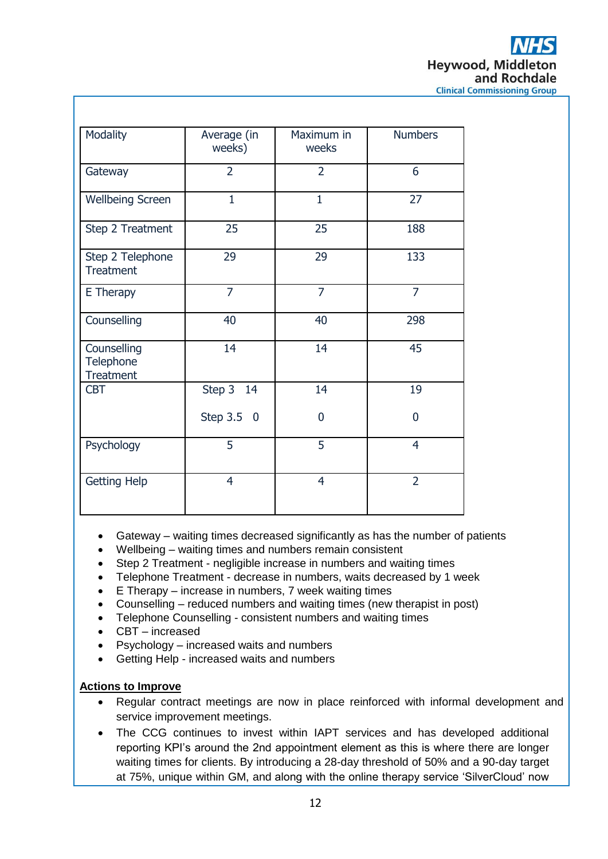| Modality                                     | Average (in<br>weeks) | Maximum in<br>weeks | <b>Numbers</b> |  |  |  |
|----------------------------------------------|-----------------------|---------------------|----------------|--|--|--|
| Gateway                                      | $\overline{2}$        | $\overline{2}$      | 6              |  |  |  |
| <b>Wellbeing Screen</b>                      | $\mathbf{1}$          | $\mathbf{1}$        | 27             |  |  |  |
| Step 2 Treatment                             | 25                    | 25                  | 188            |  |  |  |
| Step 2 Telephone<br><b>Treatment</b>         | 29                    | 29                  | 133            |  |  |  |
| E Therapy                                    | $\overline{7}$        | $\overline{7}$      | $\overline{7}$ |  |  |  |
| Counselling                                  | 40                    | 40                  | 298            |  |  |  |
| Counselling<br>Telephone<br><b>Treatment</b> | 14                    | 14                  | 45             |  |  |  |
| <b>CBT</b>                                   | Step 3<br>14          | 14                  | 19             |  |  |  |
|                                              | Step 3.5 0            | $\overline{0}$      | $\overline{0}$ |  |  |  |
| Psychology                                   | 5                     | 5                   | $\overline{4}$ |  |  |  |
| <b>Getting Help</b>                          | $\overline{4}$        | $\overline{4}$      | $\overline{2}$ |  |  |  |

- Gateway waiting times decreased significantly as has the number of patients
- Wellbeing waiting times and numbers remain consistent
- Step 2 Treatment negligible increase in numbers and waiting times
- Telephone Treatment decrease in numbers, waits decreased by 1 week
- E Therapy increase in numbers, 7 week waiting times
- Counselling reduced numbers and waiting times (new therapist in post)
- Telephone Counselling consistent numbers and waiting times
- CBT increased
- Psychology increased waits and numbers
- Getting Help increased waits and numbers

# **Actions to Improve**

- Regular contract meetings are now in place reinforced with informal development and service improvement meetings.
- The CCG continues to invest within IAPT services and has developed additional reporting KPI's around the 2nd appointment element as this is where there are longer waiting times for clients. By introducing a 28-day threshold of 50% and a 90-day target at 75%, unique within GM, and along with the online therapy service 'SilverCloud' now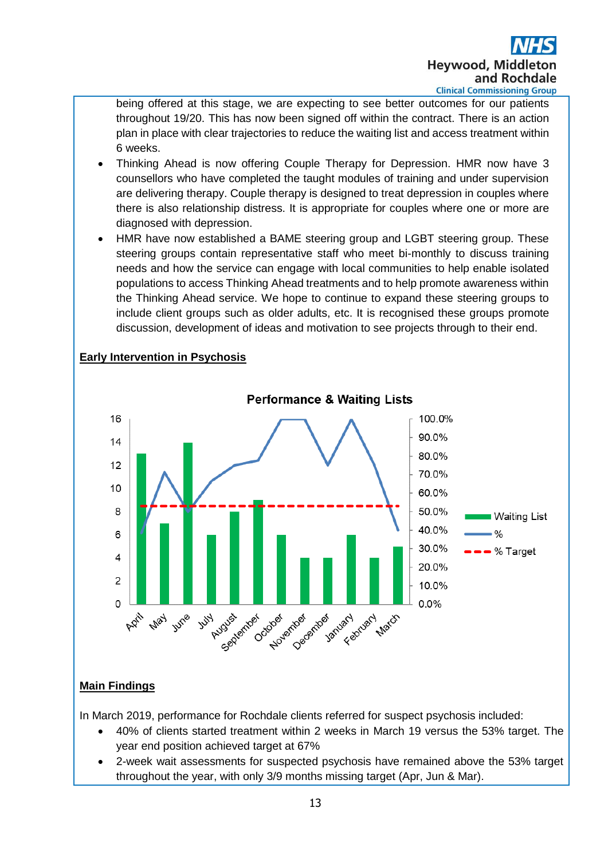

being offered at this stage, we are expecting to see better outcomes for our patients throughout 19/20. This has now been signed off within the contract. There is an action plan in place with clear trajectories to reduce the waiting list and access treatment within 6 weeks.

- Thinking Ahead is now offering Couple Therapy for Depression. HMR now have 3 counsellors who have completed the taught modules of training and under supervision are delivering therapy. Couple therapy is designed to treat depression in couples where there is also relationship distress. It is appropriate for couples where one or more are diagnosed with depression.
- HMR have now established a BAME steering group and LGBT steering group. These steering groups contain representative staff who meet bi-monthly to discuss training needs and how the service can engage with local communities to help enable isolated populations to access Thinking Ahead treatments and to help promote awareness within the Thinking Ahead service. We hope to continue to expand these steering groups to include client groups such as older adults, etc. It is recognised these groups promote discussion, development of ideas and motivation to see projects through to their end.



# **Early Intervention in Psychosis**

# **Main Findings**

In March 2019, performance for Rochdale clients referred for suspect psychosis included:

- 40% of clients started treatment within 2 weeks in March 19 versus the 53% target. The year end position achieved target at 67%
- 2-week wait assessments for suspected psychosis have remained above the 53% target throughout the year, with only 3/9 months missing target (Apr, Jun & Mar).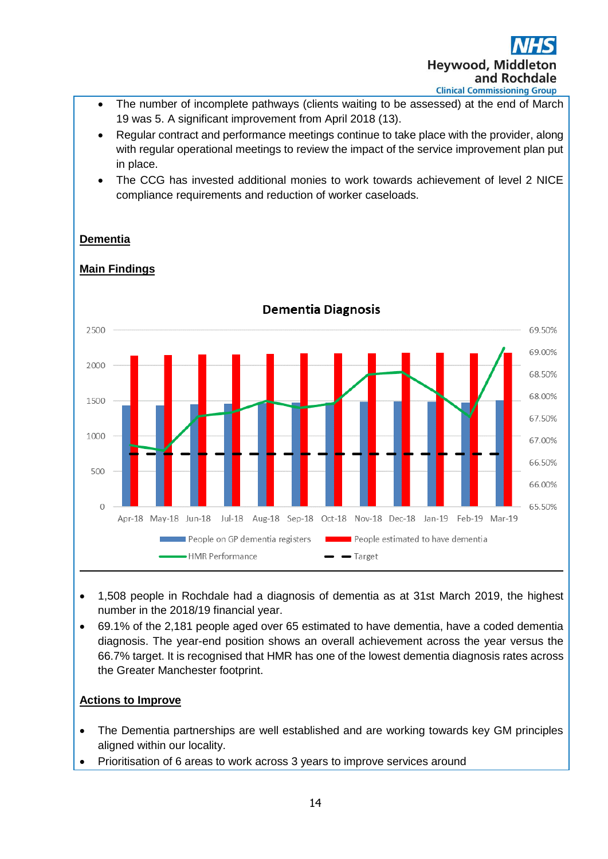

- The number of incomplete pathways (clients waiting to be assessed) at the end of March 19 was 5. A significant improvement from April 2018 (13).
- Regular contract and performance meetings continue to take place with the provider, along with regular operational meetings to review the impact of the service improvement plan put in place.
- The CCG has invested additional monies to work towards achievement of level 2 NICE compliance requirements and reduction of worker caseloads.



**Main Findings**

**Dementia**

- 1,508 people in Rochdale had a diagnosis of dementia as at 31st March 2019, the highest number in the 2018/19 financial year.
- 69.1% of the 2,181 people aged over 65 estimated to have dementia, have a coded dementia diagnosis. The year-end position shows an overall achievement across the year versus the 66.7% target. It is recognised that HMR has one of the lowest dementia diagnosis rates across the Greater Manchester footprint.

# **Actions to Improve**

- The Dementia partnerships are well established and are working towards key GM principles aligned within our locality.
- Prioritisation of 6 areas to work across 3 years to improve services around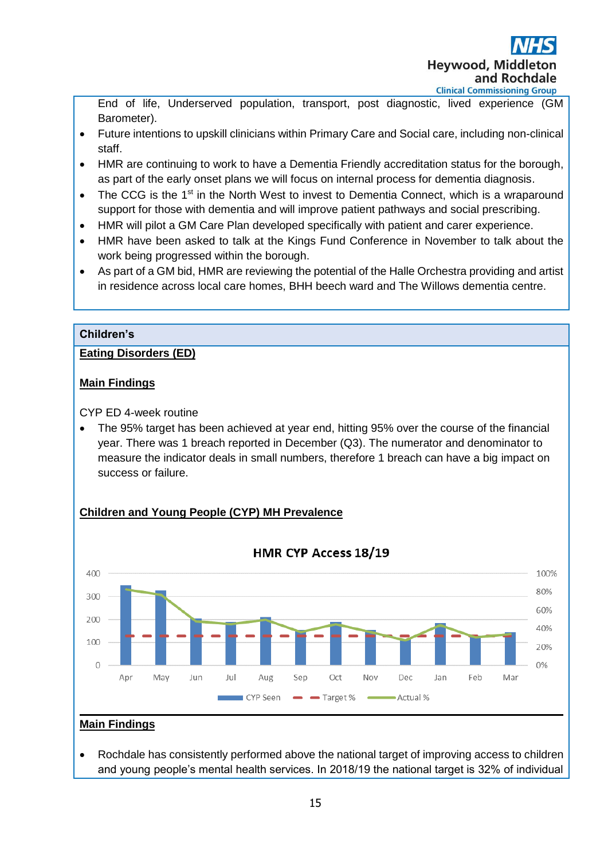

End of life, Underserved population, transport, post diagnostic, lived experience (GM Barometer).

- Future intentions to upskill clinicians within Primary Care and Social care, including non-clinical staff.
- HMR are continuing to work to have a Dementia Friendly accreditation status for the borough, as part of the early onset plans we will focus on internal process for dementia diagnosis.
- The CCG is the 1<sup>st</sup> in the North West to invest to Dementia Connect, which is a wraparound support for those with dementia and will improve patient pathways and social prescribing.
- HMR will pilot a GM Care Plan developed specifically with patient and carer experience.
- HMR have been asked to talk at the Kings Fund Conference in November to talk about the work being progressed within the borough.
- As part of a GM bid, HMR are reviewing the potential of the Halle Orchestra providing and artist in residence across local care homes, BHH beech ward and The Willows dementia centre.

# **Children's**

# **Eating Disorders (ED)**

# **Main Findings**

CYP ED 4-week routine

• The 95% target has been achieved at year end, hitting 95% over the course of the financial year. There was 1 breach reported in December (Q3). The numerator and denominator to measure the indicator deals in small numbers, therefore 1 breach can have a big impact on success or failure.



# **Children and Young People (CYP) MH Prevalence**

• Rochdale has consistently performed above the national target of improving access to children and young people's mental health services. In 2018/19 the national target is 32% of individual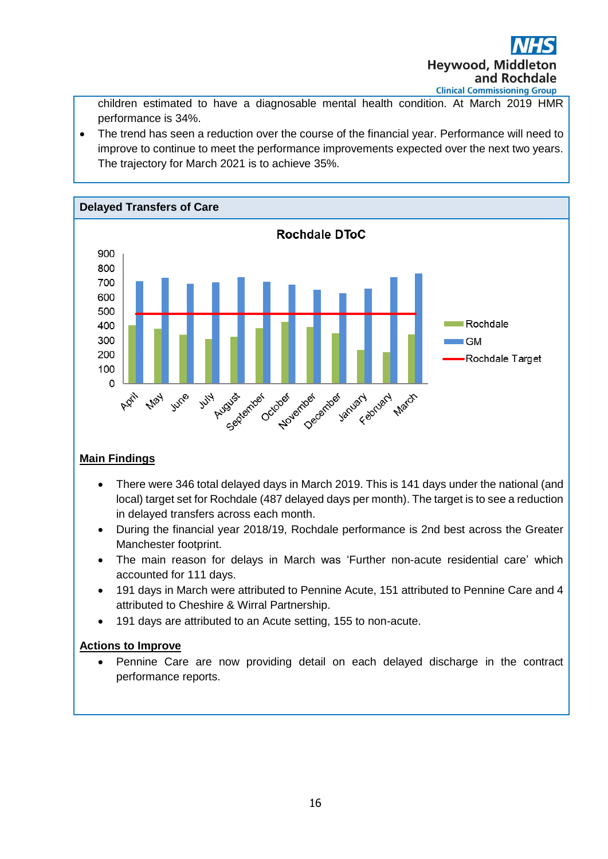

children estimated to have a diagnosable mental health condition. At March 2019 HMR performance is 34%.

• The trend has seen a reduction over the course of the financial year. Performance will need to improve to continue to meet the performance improvements expected over the next two years. The trajectory for March 2021 is to achieve 35%.



# **Main Findings**

- There were 346 total delayed days in March 2019. This is 141 days under the national (and local) target set for Rochdale (487 delayed days per month). The target is to see a reduction in delayed transfers across each month.
- During the financial year 2018/19, Rochdale performance is 2nd best across the Greater Manchester footprint.
- The main reason for delays in March was 'Further non-acute residential care' which accounted for 111 days.
- 191 days in March were attributed to Pennine Acute, 151 attributed to Pennine Care and 4 attributed to Cheshire & Wirral Partnership.
- 191 days are attributed to an Acute setting, 155 to non-acute.

# **Actions to Improve**

• Pennine Care are now providing detail on each delayed discharge in the contract performance reports.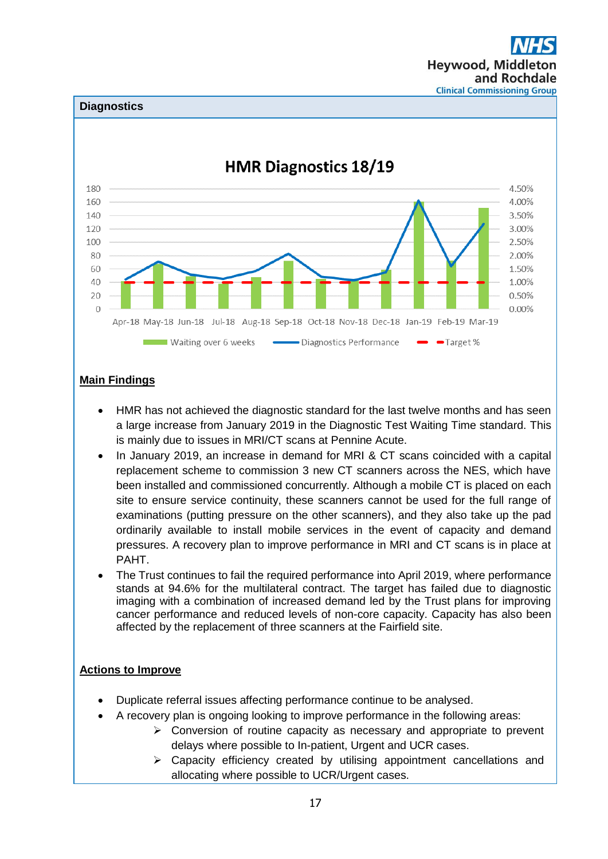**Hevwood, Midd** and Rochdale **Clinical Commissioning Group** 

#### **Diagnostics**



# **Main Findings**

- HMR has not achieved the diagnostic standard for the last twelve months and has seen a large increase from January 2019 in the Diagnostic Test Waiting Time standard. This is mainly due to issues in MRI/CT scans at Pennine Acute.
- In January 2019, an increase in demand for MRI & CT scans coincided with a capital replacement scheme to commission 3 new CT scanners across the NES, which have been installed and commissioned concurrently. Although a mobile CT is placed on each site to ensure service continuity, these scanners cannot be used for the full range of examinations (putting pressure on the other scanners), and they also take up the pad ordinarily available to install mobile services in the event of capacity and demand pressures. A recovery plan to improve performance in MRI and CT scans is in place at PAHT.
- The Trust continues to fail the required performance into April 2019, where performance stands at 94.6% for the multilateral contract. The target has failed due to diagnostic imaging with a combination of increased demand led by the Trust plans for improving cancer performance and reduced levels of non-core capacity. Capacity has also been affected by the replacement of three scanners at the Fairfield site.

# **Actions to Improve**

- Duplicate referral issues affecting performance continue to be analysed.
- A recovery plan is ongoing looking to improve performance in the following areas:
	- ➢ Conversion of routine capacity as necessary and appropriate to prevent delays where possible to In-patient, Urgent and UCR cases.
		- ➢ Capacity efficiency created by utilising appointment cancellations and allocating where possible to UCR/Urgent cases.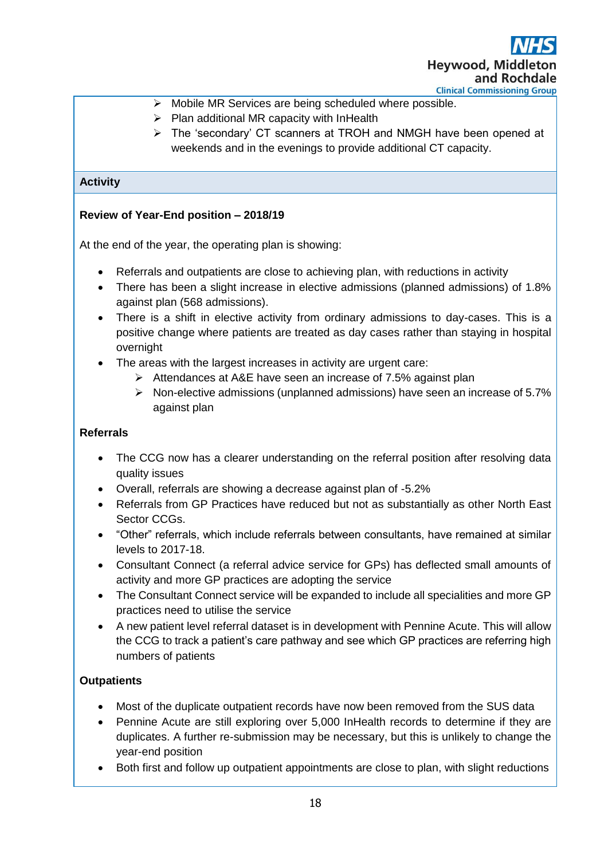- ➢ Mobile MR Services are being scheduled where possible.
- $\triangleright$  Plan additional MR capacity with InHealth
- ➢ The 'secondary' CT scanners at TROH and NMGH have been opened at weekends and in the evenings to provide additional CT capacity.

# **Activity**

# **Review of Year-End position – 2018/19**

At the end of the year, the operating plan is showing:

- Referrals and outpatients are close to achieving plan, with reductions in activity
- There has been a slight increase in elective admissions (planned admissions) of 1.8% against plan (568 admissions).
- There is a shift in elective activity from ordinary admissions to day-cases. This is a positive change where patients are treated as day cases rather than staying in hospital overnight
- The areas with the largest increases in activity are urgent care:
	- ➢ Attendances at A&E have seen an increase of 7.5% against plan
	- ➢ Non-elective admissions (unplanned admissions) have seen an increase of 5.7% against plan

# **Referrals**

- The CCG now has a clearer understanding on the referral position after resolving data quality issues
- Overall, referrals are showing a decrease against plan of -5.2%
- Referrals from GP Practices have reduced but not as substantially as other North East Sector CCGs.
- "Other" referrals, which include referrals between consultants, have remained at similar levels to 2017-18.
- Consultant Connect (a referral advice service for GPs) has deflected small amounts of activity and more GP practices are adopting the service
- The Consultant Connect service will be expanded to include all specialities and more GP practices need to utilise the service
- A new patient level referral dataset is in development with Pennine Acute. This will allow the CCG to track a patient's care pathway and see which GP practices are referring high numbers of patients

# **Outpatients**

- Most of the duplicate outpatient records have now been removed from the SUS data
- Pennine Acute are still exploring over 5,000 InHealth records to determine if they are duplicates. A further re-submission may be necessary, but this is unlikely to change the year-end position
- Both first and follow up outpatient appointments are close to plan, with slight reductions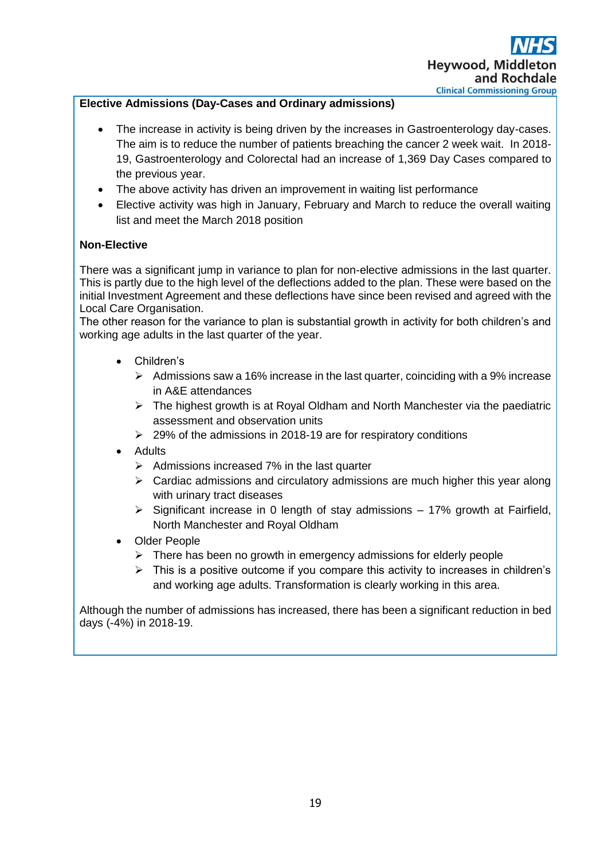# **Elective Admissions (Day-Cases and Ordinary admissions)**

- The increase in activity is being driven by the increases in Gastroenterology day-cases. The aim is to reduce the number of patients breaching the cancer 2 week wait. In 2018- 19, Gastroenterology and Colorectal had an increase of 1,369 Day Cases compared to the previous year.
- The above activity has driven an improvement in waiting list performance
- Elective activity was high in January, February and March to reduce the overall waiting list and meet the March 2018 position

# **Non-Elective**

There was a significant jump in variance to plan for non-elective admissions in the last quarter. This is partly due to the high level of the deflections added to the plan. These were based on the initial Investment Agreement and these deflections have since been revised and agreed with the Local Care Organisation.

The other reason for the variance to plan is substantial growth in activity for both children's and working age adults in the last quarter of the year.

- Children's
	- $\triangleright$  Admissions saw a 16% increase in the last quarter, coinciding with a 9% increase in A&E attendances
	- ➢ The highest growth is at Royal Oldham and North Manchester via the paediatric assessment and observation units
	- ➢ 29% of the admissions in 2018-19 are for respiratory conditions
- **Adults** 
	- $\triangleright$  Admissions increased 7% in the last quarter
	- $\triangleright$  Cardiac admissions and circulatory admissions are much higher this year along with urinary tract diseases
	- $\triangleright$  Significant increase in 0 length of stay admissions 17% growth at Fairfield, North Manchester and Royal Oldham
- **Older People** 
	- $\triangleright$  There has been no growth in emergency admissions for elderly people
	- $\triangleright$  This is a positive outcome if you compare this activity to increases in children's and working age adults. Transformation is clearly working in this area.

Although the number of admissions has increased, there has been a significant reduction in bed days (-4%) in 2018-19.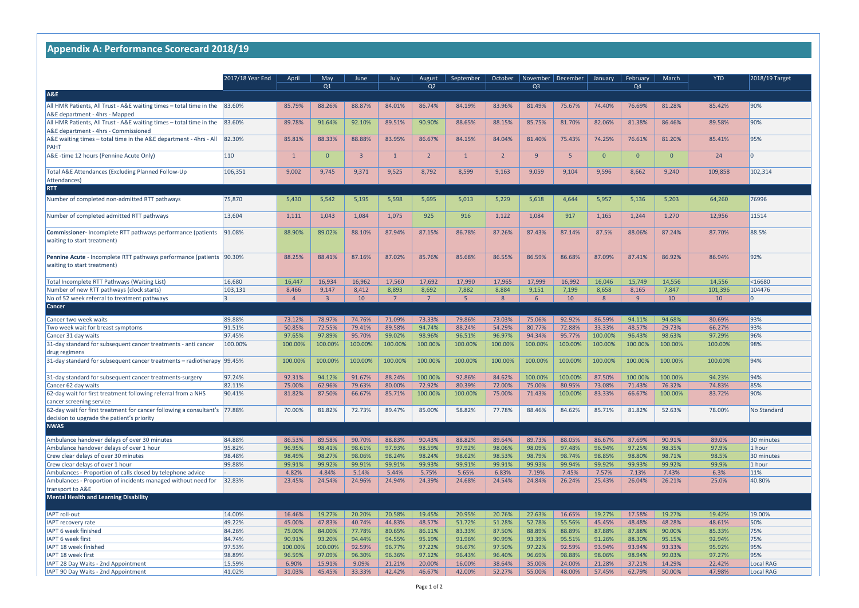|                                                                                                                              | 2017/18 Year End |                         |                  |                          |                  |                          |                   | October          | November   December |                   |                  | February          | March                    | <b>YTD</b>                 |                    |
|------------------------------------------------------------------------------------------------------------------------------|------------------|-------------------------|------------------|--------------------------|------------------|--------------------------|-------------------|------------------|---------------------|-------------------|------------------|-------------------|--------------------------|----------------------------|--------------------|
|                                                                                                                              |                  | April                   | May<br>Q1        | June                     | July             | August<br>Q <sub>2</sub> | September         |                  | Q <sub>3</sub>      |                   | January          | Q4                |                          |                            | 2018/19 Target     |
| <b>A&amp;E</b>                                                                                                               |                  |                         |                  |                          |                  |                          |                   |                  |                     |                   |                  |                   |                          |                            |                    |
| All HMR Patients, All Trust - A&E waiting times - total time in the                                                          | 83.60%           | 85.79%                  | 88.26%           | 88.87%                   | 84.01%           | 86.74%                   | 84.19%            | 83.96%           | 81.49%              | 75.67%            | 74.40%           | 76.69%            | 81.28%                   | 85.42%                     | 90%                |
| A&E department - 4hrs - Mapped                                                                                               |                  |                         |                  |                          |                  |                          |                   |                  |                     |                   |                  |                   |                          |                            |                    |
| All HMR Patients, All Trust - A&E waiting times $-$ total time in the $ 83.60\% $                                            |                  | 89.78%                  | 91.64%           | 92.10%                   | 89.51%           | 90.90%                   | 88.65%            | 88.15%           | 85.75%              | 81.70%            | 82.06%           | 81.38%            | 86.46%                   | 89.58%                     | 90%                |
| A&E department - 4hrs - Commissioned                                                                                         |                  |                         |                  |                          |                  |                          |                   |                  |                     |                   |                  |                   |                          |                            |                    |
| A&E waiting times - total time in the A&E department - 4hrs - All                                                            | 82.30%           | 85.81%                  | 88.33%           | 88.88%                   | 83.95%           | 86.67%                   | 84.15%            | 84.04%           | 81.40%              | 75.43%            | 74.25%           | 76.61%            | 81.20%                   | 85.41%                     | 95%                |
| PAHT                                                                                                                         |                  |                         |                  |                          |                  |                          |                   |                  |                     |                   |                  |                   |                          |                            |                    |
| A&E -time 12 hours (Pennine Acute Only)                                                                                      | 110              |                         | $\overline{0}$   | $\mathbf{R}$             |                  | $\overline{2}$           |                   | $\overline{2}$   | $\mathbf{q}$        | 5.                | $\overline{0}$   | $\Omega$          | $\overline{0}$           | 24                         |                    |
|                                                                                                                              |                  |                         |                  |                          |                  |                          |                   |                  |                     |                   |                  |                   |                          |                            |                    |
| Total A&E Attendances (Excluding Planned Follow-Up                                                                           | 106,351          | 9,002                   | 9,745            | 9,371                    | 9,525            | 8,792                    | 8,599             | 9,163            | 9,059               | 9,104             | 9,596            | 8,662             | 9,240                    | 109,858                    | 102,314            |
| Attendances)                                                                                                                 |                  |                         |                  |                          |                  |                          |                   |                  |                     |                   |                  |                   |                          |                            |                    |
| <b>RTT</b>                                                                                                                   |                  |                         |                  |                          |                  |                          |                   |                  |                     |                   |                  |                   |                          |                            |                    |
| Number of completed non-admitted RTT pathways                                                                                | 75,870           | 5,430                   | 5,542            | 5,195                    | 5,598            | 5,695                    | 5,013             | 5,229            | 5,618               | 4,644             | 5,957            | 5,136             | 5,203                    | 64,260                     | 76996              |
|                                                                                                                              |                  |                         |                  |                          |                  |                          |                   |                  |                     |                   |                  |                   |                          |                            |                    |
| Number of completed admitted RTT pathways                                                                                    | 13,604           | 1,111                   | 1,043            | 1,084                    | 1,075            | 925                      | 916               | 1,122            | 1,084               | 917               | 1,165            | 1,244             | 1,270                    | 12,956                     | 11514              |
|                                                                                                                              |                  |                         |                  |                          |                  |                          |                   |                  |                     |                   |                  |                   |                          |                            |                    |
| <b>Commissioner-</b> Incomplete RTT pathways performance (patients                                                           | 91.08%           | 88.90%                  | 89.02%           | 88.10%                   | 87.94%           | 87.15%                   | 86.78%            | 87.26%           | 87.43%              | 87.14%            | 87.5%            | 88.06%            | 87.24%                   | 87.70%                     | 88.5%              |
| waiting to start treatment)                                                                                                  |                  |                         |                  |                          |                  |                          |                   |                  |                     |                   |                  |                   |                          |                            |                    |
|                                                                                                                              |                  |                         |                  |                          |                  |                          |                   |                  |                     |                   |                  |                   |                          |                            |                    |
| Pennine Acute - Incomplete RTT pathways performance (patients   90.30%                                                       |                  | 88.25%                  | 88.41%           | 87.16%                   | 87.02%           | 85.76%                   | 85.68%            | 86.55%           | 86.59%              | 86.68%            | 87.09%           | 87.41%            | 86.92%                   | 86.94%                     | 92%                |
| waiting to start treatment)                                                                                                  |                  |                         |                  |                          |                  |                          |                   |                  |                     |                   |                  |                   |                          |                            |                    |
|                                                                                                                              |                  |                         |                  |                          |                  |                          |                   |                  |                     |                   |                  |                   |                          |                            |                    |
| Total Incomplete RTT Pathways (Waiting List)                                                                                 | 16,680           | 16,447                  | 16,934           | 16,962                   | 17,560           | 17,692                   | 17,990            | 17,965           | 17,999              | 16,992            | 16,046           | 15,749            | 14,556                   | 14,556                     | $16680$            |
| Number of new RTT pathways (clock starts)<br>No of 52 week referral to treatment pathways                                    | 103,131          | 8,466<br>$\overline{4}$ | 9,147<br>्२      | 8,412<br>10 <sup>°</sup> | 8,893<br>7       | 8,692<br>7               | 7,882<br>5.       | 8,884<br>-8      | 9,151<br>6          | 7,199<br>10       | 8,658<br>8       | 8,165<br><b>q</b> | 7,847<br>10 <sup>°</sup> | 101,396<br>10 <sup>°</sup> | 104476<br>0        |
| <b>Cancer</b>                                                                                                                |                  |                         |                  |                          |                  |                          |                   |                  |                     |                   |                  |                   |                          |                            |                    |
|                                                                                                                              |                  |                         |                  |                          |                  |                          |                   |                  |                     |                   |                  |                   |                          |                            |                    |
| Cancer two week waits                                                                                                        | 89.88%           | 73.12%                  | 78.97%           | 74.76%                   | 71.09%           | 73.33%                   | 79.86%            | 73.03%           | 75.06%              | 92.92%            | 86.59%           | 94.11%            | 94.68%                   | 80.69%                     | 93%                |
| Two week wait for breast symptoms                                                                                            | 91.51%           | 50.85%                  | 72.55%           | 79.41%                   | 89.58%           | 94.74%                   | 88.24%            | 54.29%           | 80.77%              | 72.88%            | 33.33%           | 48.57%            | 29.73%                   | 66.27%                     | 93%                |
| Cancer 31 day waits                                                                                                          | 97.45%           | 97.65%                  | 97.89%           | 95.70%                   | 99.02%           | 98.96%                   | 96.51%            | 96.97%           | 94.34%              | 95.77%            | 100.00%          | 96.43%            | 98.63%                   | 97.29%                     | 96%                |
| 31-day standard for subsequent cancer treatments - anti cancer                                                               | 100.00%          | 100.00%                 | 100.00%          | 100.00%                  | 100.00%          | 100.00%                  | 100.00%           | 100.00%          | 100.00%             | 100.00%           | 100.00%          | 100.00%           | 100.00%                  | 100.00%                    | 98%                |
| drug regimens                                                                                                                |                  |                         |                  |                          |                  |                          |                   |                  |                     |                   |                  |                   |                          |                            |                    |
| 31-day standard for subsequent cancer treatments $-$ radiotherapy 99.45%                                                     |                  | 100.00%                 | 100.00%          | 100.00%                  | 100.00%          | 100.00%                  | 100.00%           | 100.00%          | 100.00%             | 100.00%           | 100.00%          | 100.00%           | 100.00%                  | 100.00%                    | 94%                |
|                                                                                                                              |                  |                         |                  |                          |                  |                          |                   |                  |                     |                   |                  |                   |                          |                            |                    |
| 31-day standard for subsequent cancer treatments-surgery                                                                     | 97.24%           | 92.31%                  | 94.12%           | 91.67%                   | 88.24%           | 100.00%                  | 92.86%            | 84.62%           | 100.00%             | 100.00%           | 87.50%           | 100.00%           | 100.00%                  | 94.23%                     | 94%<br>85%         |
| Cancer 62 day waits<br>62-day wait for first treatment following referral from a NHS                                         | 82.11%<br>90.41% | 75.00%<br>81.82%        | 62.96%<br>87.50% | 79.63%<br>66.67%         | 80.00%<br>85.71% | 72.92%<br>100.00%        | 80.39%<br>100.00% | 72.00%<br>75.00% | 75.00%<br>71.43%    | 80.95%<br>100.00% | 73.08%<br>83.33% | 71.43%<br>66.67%  | 76.32%<br>100.00%        | 74.83%<br>83.72%           | 90%                |
| cancer screening service                                                                                                     |                  |                         |                  |                          |                  |                          |                   |                  |                     |                   |                  |                   |                          |                            |                    |
| 62-day wait for first treatment for cancer following a consultant's $ 77.88\% $                                              |                  | 70.00%                  | 81.82%           | 72.73%                   | 89.47%           | 85.00%                   | 58.82%            | 77.78%           | 88.46%              | 84.62%            | 85.71%           | 81.82%            | 52.63%                   | 78.00%                     | <b>No Standard</b> |
| decision to upgrade the patient's priority                                                                                   |                  |                         |                  |                          |                  |                          |                   |                  |                     |                   |                  |                   |                          |                            |                    |
| <b>NWAS</b>                                                                                                                  |                  |                         |                  |                          |                  |                          |                   |                  |                     |                   |                  |                   |                          |                            |                    |
|                                                                                                                              |                  |                         |                  |                          |                  |                          |                   |                  |                     |                   |                  |                   |                          |                            |                    |
| Ambulance handover delays of over 30 minutes                                                                                 | 84.88%           | 86.53%                  | 89.58%           | 90.70%                   | 88.83%           | 90.43%                   | 88.82%            | 89.64%           | 89.73%              | 88.05%            | 86.67%           | 87.69%            | 90.91%                   | 89.0%                      | 30 minutes         |
| Ambulance handover delays of over 1 hour                                                                                     | 95.82%           | 96.95%                  | 98.41%           | 98.61%                   | 97.93%           | 98.59%                   | 97.92%            | 98.06%           | 98.09%              | 97.48%            | 96.94%           | 97.25%            | 98.35%                   | 97.9%                      | 1 hour             |
| Crew clear delays of over 30 minutes                                                                                         | 98.48%           | 98.49%                  | 98.27%           | 98.06%                   | 98.24%           | 98.24%                   | 98.62%            | 98.53%           | 98.79%              | 98.74%            | 98.85%           | 98.80%            | 98.71%                   | 98.5%                      | 30 minutes         |
| Crew clear delays of over 1 hour                                                                                             | 99.88%           | 99.91%                  | 99.92%           | 99.91%                   | 99.91%           | 99.93%                   | 99.91%            | 99.91%           | 99.93%              | 99.94%            | 99.92%           | 99.93%            | 99.92%                   | 99.9%                      | 1 hour<br>11%      |
| Ambulances - Proportion of calls closed by telephone advice<br>Ambulances - Proportion of incidents managed without need for | 32.83%           | 4.82%<br>23.45%         | 4.84%<br>24.54%  | 5.14%<br>24.96%          | 5.44%<br>24.94%  | 5.75%<br>24.39%          | 5.65%<br>24.68%   | 6.83%<br>24.54%  | 7.19%<br>24.84%     | 7.45%<br>26.24%   | 7.57%<br>25.43%  | 7.13%<br>26.04%   | 7.43%<br>26.21%          | 6.3%<br>25.0%              | 40.80%             |
| transport to A&E                                                                                                             |                  |                         |                  |                          |                  |                          |                   |                  |                     |                   |                  |                   |                          |                            |                    |
| <b>Mental Health and Learning Disability</b>                                                                                 |                  |                         |                  |                          |                  |                          |                   |                  |                     |                   |                  |                   |                          |                            |                    |
|                                                                                                                              |                  |                         |                  |                          |                  |                          |                   |                  |                     |                   |                  |                   |                          |                            |                    |
| <b>IAPT roll-out</b>                                                                                                         | 14.00%           | 16.46%                  | 19.27%           | 20.20%                   | 20.58%           | 19.45%                   | 20.95%            | 20.76%           | 22.63%              | 16.65%            | 19.27%           | 17.58%            | 19.27%                   | 19.42%                     | 19.00%             |
| <b>IAPT recovery rate</b>                                                                                                    | 49.22%           | 45.00%                  | 47.83%           | 40.74%                   | 44.83%           | 48.57%                   | 51.72%            | 51.28%           | 52.78%              | 55.56%            | 45.45%           | 48.48%            | 48.28%                   | 48.61%                     | 50%                |
| IAPT 6 week finished                                                                                                         | 84.26%           | 75.00%                  | 84.00%           | 77.78%                   | 80.65%           | 86.11%                   | 83.33%            | 87.50%           | 88.89%              | 88.89%            | 87.88%           | 87.88%            | 90.00%                   | 85.33%                     | 75%                |
| <b>IAPT 6 week first</b>                                                                                                     | 84.74%           | 90.91%                  | 93.20%           | 94.44%                   | 94.55%           | 95.19%                   | 91.96%            | 90.99%           | 93.39%              | 95.51%            | 91.26%           | 88.30%            | 95.15%                   | 92.94%                     | 75%                |
| IAPT 18 week finished                                                                                                        | 97.53%           | 100.00%                 | 100.00%          | 92.59%                   | 96.77%           | 97.22%                   | 96.67%            | 97.50%           | 97.22%              | 92.59%            | 93.94%           | 93.94%            | 93.33%                   | 95.92%                     | 95%                |
| IAPT 18 week first                                                                                                           | 98.89%           | 96.59%                  | 97.09%           | 96.30%                   | 96.36%           | 97.12%                   | 96.43%            | 96.40%           | 96.69%              | 98.88%            | 98.06%           | 98.94%            | 99.03%                   | 97.27%                     | 95%                |
| IAPT 28 Day Waits - 2nd Appointment                                                                                          | 15.59%           | 6.90%                   | 15.91%           | 9.09%                    | 21.21%           | 20.00%                   | 16.00%            | 38.64%           | 35.00%              | 24.00%            | 21.28%           | 37.21%            | 14.29%                   | 22.42%                     | <b>Local RAG</b>   |
| IAPT 90 Day Waits - 2nd Appointment                                                                                          | 41.02%           | 31.03%                  | 45.45%           | 33.33%                   | 42.42%           | 46.67%                   | 42.00%            | 52.27%           | 55.00%              | 48.00%            | 57.45%           | 62.79%            | 50.00%                   | 47.98%                     | <b>Local RAG</b>   |

# **Appendix A: Performance Scorecard 2018/19**